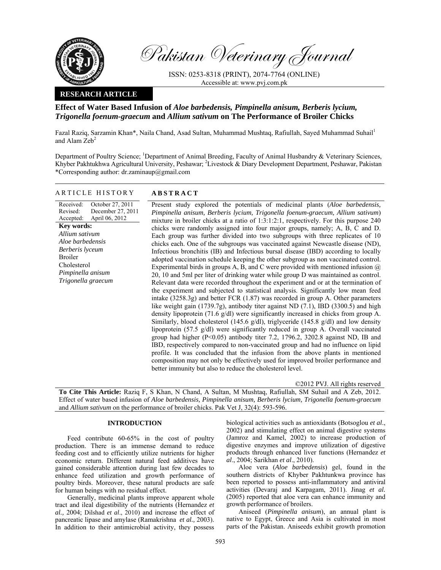

Pakistan Veterinary Journal

ISSN: 0253-8318 (PRINT), 2074-7764 (ONLINE) Accessible at: www.pvj.com.pk

## **RESEARCH ARTICLE**

ARTICLE HISTORY **ABSTRACT** 

# **Effect of Water Based Infusion of** *Aloe barbedensis, Pimpinella anisum, Berberis lycium, Trigonella foenum-graecum* **and** *Allium sativum* **on The Performance of Broiler Chicks**

Fazal Raziq, Sarzamin Khan\*, Naila Chand, Asad Sultan, Muhammad Mushtaq, Rafiullah, Sayed Muhammad Suhail<sup>1</sup> and Alam  $\mathbf{Zeb}^2$ 

Department of Poultry Science; <sup>1</sup>Department of Animal Breeding, Faculty of Animal Husbandry & Veterinary Sciences, Khyber Pakhtukhwa Agricultural University, Peshawar; <sup>2</sup>Livestock & Diary Development Department, Peshawar, Pakistan \*Corresponding author: dr.zaminaup@gmail.com

| Received:<br>October 27, 2011<br>December 27, 2011<br>Revised:<br>April 06, 2012<br>Accepted:<br>Key words:<br>Allium sativum<br>Aloe barbedensis<br>Berberis lyceum<br><b>Broiler</b><br>Cholesterol<br>Pimpinella anisum<br>Trigonella graecum | Present study explored the potentials of medicinal plants (Aloe barbedensis,<br>Pimpinella anisum, Berberis lycium, Trigonella foenum-graecum, Allium sativum)<br>mixture in broiler chicks at a ratio of 1:3:1:2:1, respectively. For this purpose 240<br>chicks were randomly assigned into four major groups, namely; A, B, C and D.<br>Each group was further divided into two subgroups with three replicates of 10                                                                                                                                                                                                                                                                                                                                                                                                                                                                                                                                                  |  |  |  |  |
|--------------------------------------------------------------------------------------------------------------------------------------------------------------------------------------------------------------------------------------------------|---------------------------------------------------------------------------------------------------------------------------------------------------------------------------------------------------------------------------------------------------------------------------------------------------------------------------------------------------------------------------------------------------------------------------------------------------------------------------------------------------------------------------------------------------------------------------------------------------------------------------------------------------------------------------------------------------------------------------------------------------------------------------------------------------------------------------------------------------------------------------------------------------------------------------------------------------------------------------|--|--|--|--|
|                                                                                                                                                                                                                                                  | chicks each. One of the subgroups was vaccinated against Newcastle disease (ND),<br>Infectious bronchitis (IB) and Infectious bursal disease (IBD) according to locally<br>adopted vaccination schedule keeping the other subgroup as non vaccinated control.<br>Experimental birds in groups A, B, and C were provided with mentioned infusion $\omega$<br>20, 10 and 5ml per liter of drinking water while group D was maintained as control.<br>Relevant data were recorded throughout the experiment and or at the termination of                                                                                                                                                                                                                                                                                                                                                                                                                                     |  |  |  |  |
|                                                                                                                                                                                                                                                  | the experiment and subjected to statistical analysis. Significantly low mean feed<br>intake $(3258.3g)$ and better FCR $(1.87)$ was recorded in group A. Other parameters<br>like weight gain $(1739.7g)$ , antibody titer against ND $(7.1)$ , IBD $(3300.5)$ and high<br>density lipoprotein $(71.6 \text{ g/dl})$ were significantly increased in chicks from group A.<br>Similarly, blood cholesterol (145.6 $g/dl$ ), triglyceride (145.8 $g/dl$ ) and low density<br>lipoprotein (57.5 g/dl) were significantly reduced in group A. Overall vaccinated<br>group had higher $(P<0.05)$ antibody titer 7.2, 1796.2, 3202.8 against ND, IB and<br>IBD, respectively compared to non-vaccinated group and had no influence on lipid<br>profile. It was concluded that the infusion from the above plants in mentioned<br>composition may not only be effectively used for improved broiler performance and<br>better immunity but also to reduce the cholesterol level. |  |  |  |  |

©2012 PVJ. All rights reserved

**To Cite This Article:** Raziq F, S Khan, N Chand, A Sultan, M Mushtaq, Rafiullah, SM Suhail and A Zeb, 2012. Effect of water based infusion of *Aloe barbedensis, Pimpinella anisum, Berberis lycium, Trigonella foenum-graecum*  and *Allium sativum* on the performance of broiler chicks. Pak Vet J, 32(4): 593-596.

## **INTRODUCTION**

Feed contribute 60-65% in the cost of poultry production. There is an immense demand to reduce feeding cost and to efficiently utilize nutrients for higher economic return. Different natural feed additives have gained considerable attention during last few decades to enhance feed utilization and growth performance of poultry birds. Moreover, these natural products are safe for human beings with no residual effect.

Generally, medicinal plants improve apparent whole tract and ileal digestibility of the nutrients (Hernandez *et al.,* 2004; Dilshad *et al*., 2010) and increase the effect of pancreatic lipase and amylase (Ramakrishna *et al.,* 2003). In addition to their antimicrobial activity, they possess

biological activities such as antioxidants (Botsoglou *et al*., 2002) and stimulating effect on animal digestive systems (Jamroz and Kamel, 2002) to increase production of digestive enzymes and improve utilization of digestive products through enhanced liver functions (Hernandez *et al*., 2004; Sarikhan *et al*., 2010).

Aloe vera (*Aloe barbedensis*) gel, found in the southern districts of Khyber Pakhtunkwa province has been reported to possess anti-inflammatory and antiviral activities (Devaraj and Karpagam, 2011). Jinag *et al.* (2005) reported that aloe vera can enhance immunity and growth performance of broilers.

Aniseed (*Pimpinella anisum*), an annual plant is native to Egypt, Greece and Asia is cultivated in most parts of the Pakistan. Aniseeds exhibit growth promotion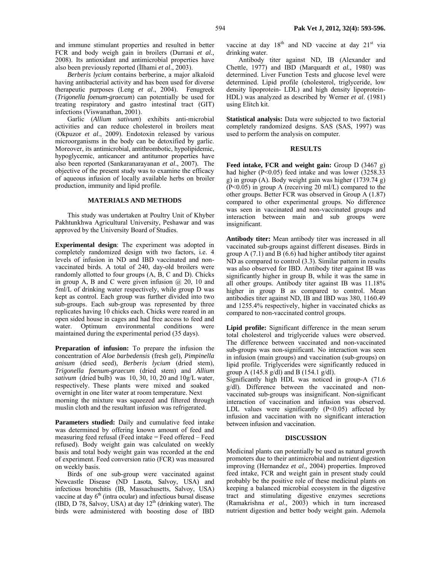and immune stimulant properties and resulted in better FCR and body weigh gain in broilers (Durrani *et al.,* 2008). Its antioxidant and antimicrobial properties have also been previously reported (İlhami *et al*., 2003).

*Berberis lycium* contains berberine, a major alkaloid having antibacterial activity and has been used for diverse therapeutic purposes (Leng *et al*., 2004). Fenugreek (*Trigonella foenum-graecum*) can potentially be used for treating respiratory and gastro intestinal tract (GIT) infections (Viswanathan, 2001).

Garlic (*Allium sativum*) exhibits anti-microbial activities and can reduce cholesterol in broilers meat (Okpuzor *et al*., 2009). Endotoxin released by various microorganisms in the body can be detoxified by garlic. Moreover, its antimicrobial, antithrombotic, hypolipidemic, hypoglycemic, anticancer and antitumor properties have also been reported (Sankaranarayanan *et al*., 2007). The objective of the present study was to examine the efficacy of aqueous infusion of locally available herbs on broiler production, immunity and lipid profile.

### **MATERIALS AND METHODS**

This study was undertaken at Poultry Unit of Khyber Pakhtunkhwa Agricultural University, Peshawar and was approved by the University Board of Studies.

**Experimental design**: The experiment was adopted in completely randomized design with two factors, i.e. 4 levels of infusion in ND and IBD vaccinated and nonvaccinated birds. A total of 240, day-old broilers were randomly allotted to four groups (A, B, C and D). Chicks in group A, B and C were given infusion  $(a)$  20, 10 and 5ml/L of drinking water respectively, while group D was kept as control. Each group was further divided into two sub-groups. Each sub-group was represented by three replicates having 10 chicks each. Chicks were reared in an open sided house in cages and had free access to feed and water. Optimum environmental conditions were maintained during the experimental period (35 days).

**Preparation of infusion:** To prepare the infusion the concentration of *Aloe barbedensis* (fresh gel)*, Pimpinella anisum* (dried seed)*, Berberis lycium* (dried stem)*, Trigonella foenum-graecum* (dried stem) and *Allium sativum* (dried bulb) was 10, 30, 10, 20 and 10g/L water, respectively. These plants were mixed and soaked overnight in one liter water at room temperature. Next morning the mixture was squeezed and filtered through muslin cloth and the resultant infusion was refrigerated.

Parameters studied: Daily and cumulative feed intake was determined by offering known amount of feed and measuring feed refusal (Feed intake = Feed offered – Feed refused). Body weight gain was calculated on weekly basis and total body weight gain was recorded at the end of experiment. Feed conversion ratio (FCR) was measured on weekly basis.

Birds of one sub-group were vaccinated against Newcastle Disease (ND Lasota, Salvoy, USA) and infectious bronchitis (IB, Massachusetts, Salvoy, USA) vaccine at day  $6<sup>th</sup>$  (intra ocular) and infectious bursal disease (IBD, D 78, Salvoy, USA) at day  $12<sup>th</sup>$  (drinking water). The birds were administered with boosting dose of IBD vaccine at day  $18<sup>th</sup>$  and ND vaccine at day  $21<sup>st</sup>$  via drinking water.

Antibody titer against ND, IB (Alexander and Chettle, 1977) and IBD (Marquardt *et al.,* 1980) was determined. Liver Function Tests and glucose level were determined. Lipid profile (cholesterol, triglyceride, low density lipoprotein- LDL) and high density lipoprotein-HDL) was analyzed as described by Werner *et al*. (1981) using Elitch kit.

**Statistical analysis:** Data were subjected to two factorial completely randomized designs. SAS (SAS, 1997) was used to perform the analysis on computer.

#### **RESULTS**

**Feed intake, FCR and weight gain:** Group D (3467 g) had higher (P<0.05) feed intake and was lower (3258.33) g) in group (A). Body weight gain was higher (1739.74 g) (P<0.05) in group A (receiving 20 ml/L) compared to the other groups. Better FCR was observed in Group A (1.87) compared to other experimental groups. No difference was seen in vaccinated and non-vaccinated groups and interaction between main and sub groups were insignificant.

**Antibody titer:** Mean antibody titer was increased in all vaccinated sub-groups against different diseases. Birds in group A  $(7.1)$  and B  $(6.6)$  had higher antibody titer against ND as compared to control (3.3). Similar pattern in results was also observed for IBD. Antibody titer against IB was significantly higher in group B, while it was the same in all other groups. Antibody titer against IB was 11.18% higher in group B as compared to control. Mean antibodies titer against ND, IB and IBD was 380, 1160.49 and 1255.4% respectively, higher in vaccinated chicks as compared to non-vaccinated control groups.

**Lipid profile:** Significant difference in the mean serum total cholesterol and triglyceride values were observed. The difference between vaccinated and non-vaccinated sub-groups was non-significant. No interaction was seen in infusion (main groups) and vaccination (sub-groups) on lipid profile. Triglycerides were significantly reduced in group A (145.8 g/dl) and B (154.1 g/dl).

Significantly high HDL was noticed in group-A (71.6 g/dl). Difference between the vaccinated and nonvaccinated sub-groups was insignificant. Non-significant interaction of vaccination and infusion was observed. LDL values were significantly  $(P<0.05)$  affected by infusion and vaccination with no significant interaction between infusion and vaccination.

#### **DISCUSSION**

Medicinal plants can potentially be used as natural growth promoters due to their antimicrobial and nutrient digestion improving (Hernandez *et al.,* 2004) properties. Improved feed intake, FCR and weight gain in present study could probably be the positive role of these medicinal plants on keeping a balanced microbial ecosystem in the digestive tract and stimulating digestive enzymes secretions (Ramakrishna *et al.,* 2003) which in turn increased nutrient digestion and better body weight gain. Ademola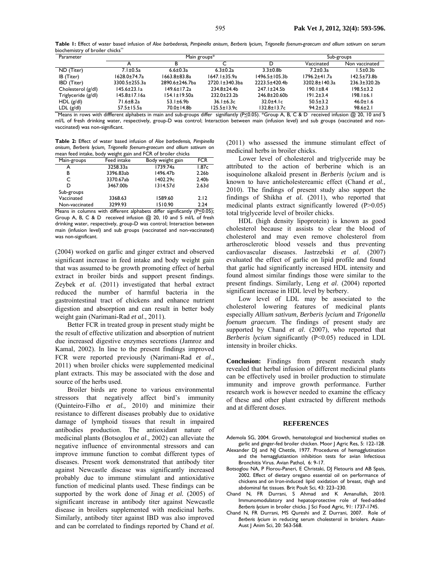**Table 1:** Effect of water based infusion of *Aloe barbedensis, Pimpinella anisum, Berberis lycium, Trigonella foenum-graecum and allium sativum* on serum biochemistry of broiler chicks\*\*

| Parameter           | Main groups*       |                     |                    | Sub-groups           |                 |                   |
|---------------------|--------------------|---------------------|--------------------|----------------------|-----------------|-------------------|
|                     |                    |                     |                    |                      | Vaccinated      | Non vaccinated    |
| ND (Titer)          | $7.1 \pm 0.5a$     | $6.6 \pm 0.3a$      | $6.3 \pm 0.2a$     | $3.3 \pm 0.8$        | $7.2 \pm 0.3a$  | $1.5 \pm 0.3 b$   |
| IB (Titer)          | 1628.0±74.7a       | $1663.8 \pm 83.8$ a | $1647.1 \pm 35.9a$ | $1496.5 \pm 105.3 b$ | 1796.2±41.7a    | $142.5 + 73.8$    |
| IBD (Titer)         | 3300.5±255.3a      | 2890.6±246.7ba      | 2720.1±340.3ba     | 2223.5±420.4b        | 3202.8±140.3a   | $236.3 \pm 320.2$ |
| Cholesterol (g/dl)  | 145.6±23.1a        | $149.6 \pm 17.2a$   | 234.8±24.4b        | $247.1 \pm 24.5$ b   | $190.1 \pm 8.4$ | $198.5 \pm 3.2$   |
| Triglyceride (g/dl) | $145.8 \pm 17.16a$ | $154.1 \pm 19.50a$  | $232.0 \pm 23.2$   | $246.8 \pm 20.60$    | $191.2 \pm 3.4$ | $198.1 \pm 6.1$   |
| $HDL$ (g/dl)        | 71.6±8.2a          | $53.1 \pm 6.9 b$    | $36.1 \pm 6.3c$    | $32.0 + 4.1c$        | $50.5 \pm 3.2$  | $46.0 \pm 1.6$    |
| LDL(g/dl)           | $57.5 \pm 15.5a$   | 70.0±14.8b          | $125.5 \pm 13.9c$  | $132.8 \pm 13.7c$    | $94.2 \pm 2.3$  | $98.6 \pm 2.1$    |

"Means in rows with diffferent alphabets in main and sub-groups differ signifiantly (P $\leq$ 0.05). \*Group A, B, C & D received infusion @ 20, 10 and 5 ml/L of fresh drinking water, respectively, group-D was control; Interaction between main (infusion level) and sub groups (vaccinated and nonvaccinated) was non-significant.

**Table 2:** Effect of water based infusion of *Aloe barbedensis, Pimpinella anisum, Berberis lycium, Trigonella foenum-graecum and allium sativum* on mean feed intake, body weight gain and FCR of broiler chicks

|                | . .<br>-    |                                       |                   |
|----------------|-------------|---------------------------------------|-------------------|
| Main-groups    | Feed intake | Body weight gain                      | <b>FCR</b>        |
| А              | 3258.33a    | 1739.74a                              | 1.87c             |
| В              | 3396.83ab   | 1496.47b                              | 2.26 <sub>b</sub> |
| C              | 3370.67ab   | 1402.29c                              | 2.40 <sub>b</sub> |
| D              | 3467.00b    | 1314.57d                              | 2.63d             |
| Sub-groups     |             |                                       |                   |
| Vaccinated     | 3368.63     | 1589.60                               | 2.12              |
| Non-vaccinated | 3299.93     | 1510.90                               | 2.24              |
| $\mathbf{r}$   | 1.00<br>. . | $\overline{\phantom{a}}$<br>1.00<br>. | (0, 0, 0, 0)      |

Means in columns with different alphabets differ significantly (P<0.05); Group A, B, C & D received infusion @ 20, 10 and 5 ml/L of fresh drinking water, respectively, group-D was control; Interaction between main (infusion level) and sub groups (vaccinated and non-vaccinated) was non-significant.

(2004) worked on garlic and ginger extract and observed significant increase in feed intake and body weight gain that was assumed to be growth promoting effect of herbal extract in broiler birds and support present findings. Zeybek *et al.* (2011) investigated that herbal extract reduced the number of harmful bacteria in the gastrointestinal tract of chickens and enhance nutrient digestion and absorption and can result in better body weight gain (Narimani-Rad *et al*., 2011).

Better FCR in treated group in present study might be the result of effective utilization and absorption of nutrient due increased digestive enzymes secretions (Jamroz and Kamal, 2002). In line to the present findings improved FCR were reported previously (Narimani-Rad *et al*., 2011) when broiler chicks were supplemented medicinal plant extracts. This may be associated with the dose and source of the herbs used.

Broiler birds are prone to various environmental stressors that negatively affect bird's immunity (Quinteiro-Filho *et al.,* 2010) and minimize their resistance to different diseases probably due to oxidative damage of lymphoid tissues that result in impaired antibodies production. The antioxidant nature of medicinal plants (Botsoglou *et al*., 2002) can alleviate the negative influence of environmental stressors and can improve immune function to combat different types of diseases. Present work demonstrated that antibody titer against Newcastle disease was significantly increased probably due to immune stimulant and antioxidative function of medicinal plants used. These findings can be supported by the work done of Jinag *et al.* (2005) of significant increase in antibody titer against Newcastle disease in broilers supplemented with medicinal herbs. Similarly, antibody titer against IBD was also improved and can be correlated to findings reported by Chand *et al.*

(2011) who assessed the immune stimulant effect of medicinal herbs in broiler chicks.

Lower level of cholesterol and triglyceride may be attributed to the action of berberine which is an isoquinolone alkaloid present in *Berberis lycium* and is known to have anticholestereamic effect (Chand *et al.,*  2010). The findings of present study also support the findings of Shikha *et al.* (2011), who reported that medicinal plants extract significantly lowered (P>0.05) total triglyceride level of broiler chicks.

HDL (high density lipoprotein) is known as good cholesterol because it assists to clear the blood of cholesterol and may even remove cholesterol from artherosclerotic blood vessels and thus preventing cardiovascular diseases. Jastrzebski *et al*. (2007) evaluated the effect of garlic on lipid profile and found that garlic had significantly increased HDL intensity and found almost similar findings those were similar to the present findings. Similarly, Leng *et al*. (2004) reported significant increase in HDL level by berbery.

Low level of LDL may be associated to the cholesterol lowering features of medicinal plants especially *Allium sativum*, *Berberis lycium* and *Trigonella foenum graecum*. The findings of present study are supported by Chand *et al*. (2007), who reported that *Berberis lycium* significantly (P<0.05) reduced in LDL intensity in broiler chicks.

**Conclusion:** Findings from present research study revealed that herbal infusion of different medicinal plants can be effectively used in broiler production to stimulate immunity and improve growth performance. Further research work is however needed to examine the efficacy of these and other plant extracted by different methods and at different doses.

#### **REFERENCES**

- Ademola SG, 2004. Growth, hematological and biochemical studies on garlic and ginger-fed broiler chicken. Moor J Agric Res, 5: 122-128.
- Alexander DJ and NJ Chettle, 1977. Procedures of hemagglutination and the hemagglutiantion inhibition tests for avian Infectious Bronchitis Virus. Avian Pathol, 6: 9-17.
- Botsoglou NA, P Florou-Paneri, E Christaki, DJ Fletouris and AB Spais, 2002. Effect of dietary oregano essential oil on performance of chickens and on Iron-induced lipid oxidation of breast, thigh and abdominal fat tissues. Brit Poult Sci, 43: 223–230.
- Chand N, FR Durrani, S Ahmad and K Amanullah, 2010. Immunomodulatory and hepatoprotective role of feed-added *Berberis lycium* in broiler chicks. J Sci Food Agric, 91: 1737-1745.
- Chand N, FR Durrani, MS Qureshi and Z Durrani, 2007. Role of *Berberis lycium* in reducing serum cholesterol in briolers. Asian-Aust J Anim Sci, 20: 563-568.